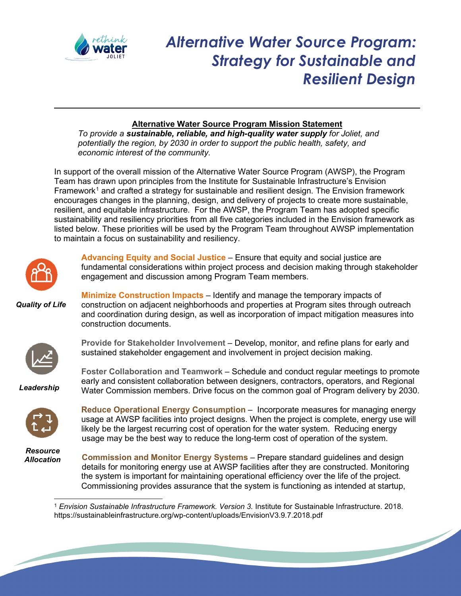

## *Alternative Water Source Program: Strategy for Sustainable and Resilient Design*

## **Alternative Water Source Program Mission Statement**

*To provide a sustainable, reliable, and high-quality water supply for Joliet, and potentially the region, by 2030 in order to support the public health, safety, and economic interest of the community.*

In support of the overall mission of the Alternative Water Source Program (AWSP), the Program Team has drawn upon principles from the Institute for Sustainable Infrastructure's Envision Framework<sup>[1](#page-0-0)</sup> and crafted a strategy for sustainable and resilient design. The Envision framework encourages changes in the planning, design, and delivery of projects to create more sustainable, resilient, and equitable infrastructure. For the AWSP, the Program Team has adopted specific sustainability and resiliency priorities from all five categories included in the Envision framework as listed below. These priorities will be used by the Program Team throughout AWSP implementation to maintain a focus on sustainability and resiliency.



**Advancing Equity and Social Justice** – Ensure that equity and social justice are fundamental considerations within project process and decision making through stakeholder engagement and discussion among Program Team members.

*Quality of Life*





**Provide for Stakeholder Involvement** – Develop, monitor, and refine plans for early and sustained stakeholder engagement and involvement in project decision making.

**Foster Collaboration and Teamwork** – Schedule and conduct regular meetings to promote early and consistent collaboration between designers, contractors, operators, and Regional Water Commission members. Drive focus on the common goal of Program delivery by 2030.

*Leadership*



**Reduce Operational Energy Consumption** – Incorporate measures for managing energy usage at AWSP facilities into project designs. When the project is complete, energy use will likely be the largest recurring cost of operation for the water system. Reducing energy usage may be the best way to reduce the long-term cost of operation of the system.

*Resource Allocation*

**Commission and Monitor Energy Systems** – Prepare standard guidelines and design details for monitoring energy use at AWSP facilities after they are constructed. Monitoring the system is important for maintaining operational efficiency over the life of the project. Commissioning provides assurance that the system is functioning as intended at startup,

<u>Singlet and the second contract of the second contract of the second contract of the second contract of the second contract of the second contract of the second contract of the second contract of the second contract of th</u>

<span id="page-0-0"></span><sup>1</sup> *Envision Sustainable Infrastructure Framework. Version 3.* Institute for Sustainable Infrastructure. 2018. https://sustainableinfrastructure.org/wp-content/uploads/EnvisionV3.9.7.2018.pdf